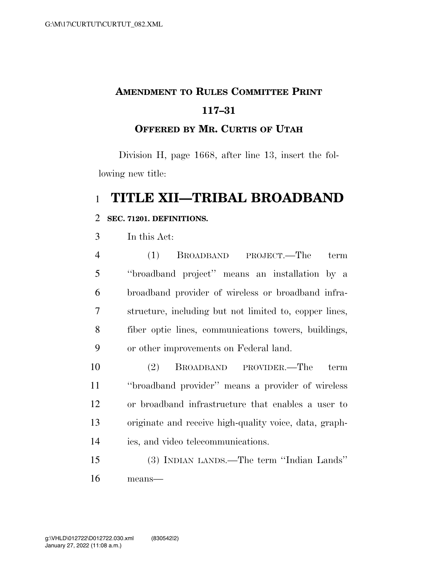# **AMENDMENT TO RULES COMMITTEE PRINT 117–31**

### **OFFERED BY MR. CURTIS OF UTAH**

Division H, page 1668, after line 13, insert the following new title:

### **TITLE XII—TRIBAL BROADBAND**

#### **SEC. 71201. DEFINITIONS.**

In this Act:

| $\overline{4}$ | BROADBAND PROJECT.—The<br>term<br>(1)                  |
|----------------|--------------------------------------------------------|
| 5              | "broadband project" means an installation by a         |
| 6              | broadband provider of wireless or broadband infra-     |
| 7              | structure, including but not limited to, copper lines, |
| 8              | fiber optic lines, communications towers, buildings,   |
| 9              | or other improvements on Federal land.                 |

 (2) BROADBAND PROVIDER.—The term ''broadband provider'' means a provider of wireless or broadband infrastructure that enables a user to originate and receive high-quality voice, data, graph-ics, and video telecommunications.

 (3) INDIAN LANDS.—The term ''Indian Lands'' means—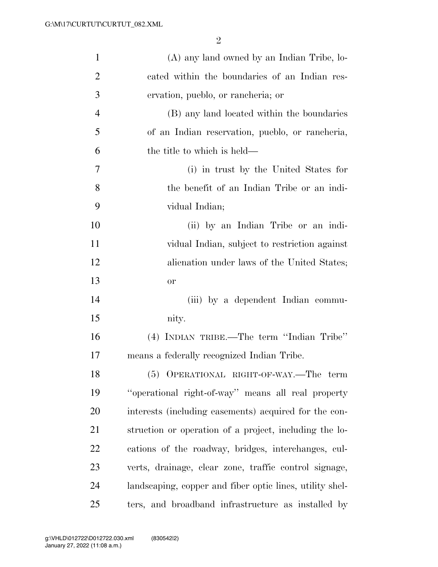| $\mathbf{1}$   | (A) any land owned by an Indian Tribe, lo-               |
|----------------|----------------------------------------------------------|
| $\overline{2}$ | cated within the boundaries of an Indian res-            |
| 3              | ervation, pueblo, or rancheria; or                       |
| $\overline{4}$ | (B) any land located within the boundaries               |
| 5              | of an Indian reservation, pueblo, or rancheria,          |
| 6              | the title to which is held—                              |
| 7              | (i) in trust by the United States for                    |
| 8              | the benefit of an Indian Tribe or an indi-               |
| 9              | vidual Indian;                                           |
| 10             | (ii) by an Indian Tribe or an indi-                      |
| 11             | vidual Indian, subject to restriction against            |
| 12             | alienation under laws of the United States;              |
| 13             | <b>or</b>                                                |
| 14             | (iii) by a dependent Indian commu-                       |
| 15             | nity.                                                    |
| 16             | (4) INDIAN TRIBE.—The term "Indian Tribe"                |
| 17             | means a federally recognized Indian Tribe.               |
| 18             | (5) OPERATIONAL RIGHT-OF-WAY.—The term                   |
| 19             | "operational right-of-way" means all real property       |
| 20             | interests (including easements) acquired for the con-    |
| 21             | struction or operation of a project, including the lo-   |
| 22             | cations of the roadway, bridges, interchanges, cul-      |
| 23             | verts, drainage, clear zone, traffic control signage,    |
| 24             | landscaping, copper and fiber optic lines, utility shel- |
| 25             | ters, and broadband infrastructure as installed by       |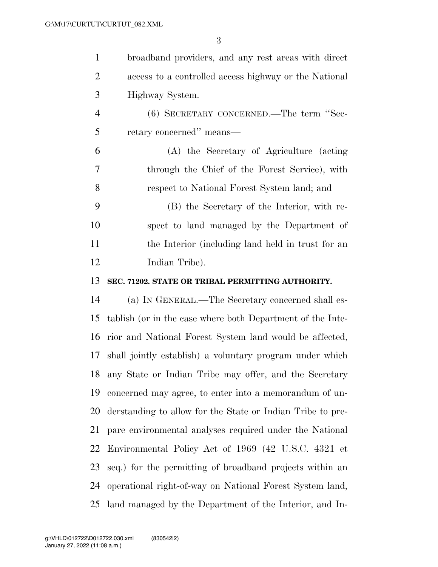| $\mathbf{1}$   | broadband providers, and any rest areas with direct        |
|----------------|------------------------------------------------------------|
| $\overline{2}$ | access to a controlled access highway or the National      |
| 3              | Highway System.                                            |
| $\overline{4}$ | (6) SECRETARY CONCERNED.—The term "Sec-                    |
| 5              | retary concerned" means—                                   |
| 6              | (A) the Secretary of Agriculture (acting                   |
| 7              | through the Chief of the Forest Service), with             |
| 8              | respect to National Forest System land; and                |
| 9              | (B) the Secretary of the Interior, with re-                |
| 10             | spect to land managed by the Department of                 |
| 11             | the Interior (including land held in trust for an          |
| 12             | Indian Tribe).                                             |
| 13             | SEC. 71202. STATE OR TRIBAL PERMITTING AUTHORITY.          |
| 14             | (a) IN GENERAL.—The Secretary concerned shall es-          |
| 15             | tablish (or in the case where both Department of the Inte- |
| 16             | rior and National Forest System land would be affected,    |
| 17             | shall jointly establish) a voluntary program under which   |
| 18             | any State or Indian Tribe may offer, and the Secretary     |
| 19             | concerned may agree, to enter into a memorandum of un-     |
| 20             | derstanding to allow for the State or Indian Tribe to pre- |
| 21             | pare environmental analyses required under the National    |
| 22             | Environmental Policy Act of 1969 (42 U.S.C. 4321 et        |
| 23             | seq.) for the permitting of broadband projects within an   |
| 24             | operational right-of-way on National Forest System land,   |
| 25             | land managed by the Department of the Interior, and In-    |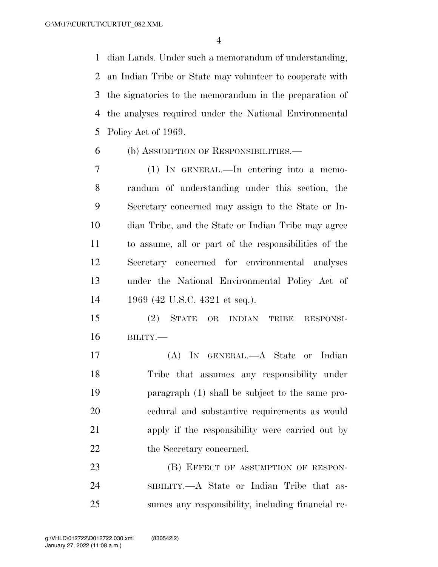dian Lands. Under such a memorandum of understanding, an Indian Tribe or State may volunteer to cooperate with the signatories to the memorandum in the preparation of the analyses required under the National Environmental Policy Act of 1969.

(b) ASSUMPTION OF RESPONSIBILITIES.—

 (1) IN GENERAL.—In entering into a memo- randum of understanding under this section, the Secretary concerned may assign to the State or In- dian Tribe, and the State or Indian Tribe may agree to assume, all or part of the responsibilities of the Secretary concerned for environmental analyses under the National Environmental Policy Act of 1969 (42 U.S.C. 4321 et seq.).

 (2) STATE OR INDIAN TRIBE RESPONSI-BILITY.—

 (A) IN GENERAL.—A State or Indian Tribe that assumes any responsibility under paragraph (1) shall be subject to the same pro- cedural and substantive requirements as would apply if the responsibility were carried out by 22 the Secretary concerned.

23 (B) EFFECT OF ASSUMPTION OF RESPON- SIBILITY.—A State or Indian Tribe that as-sumes any responsibility, including financial re-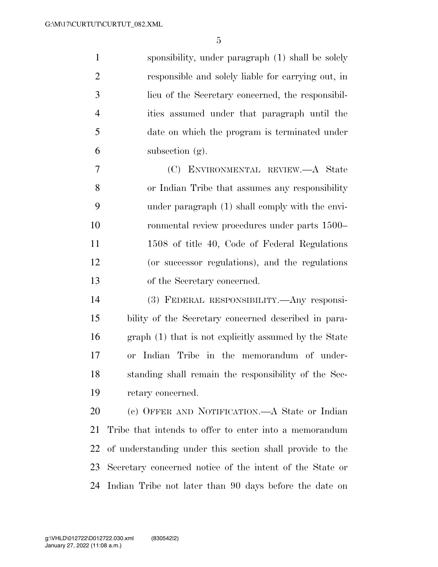sponsibility, under paragraph (1) shall be solely responsible and solely liable for carrying out, in lieu of the Secretary concerned, the responsibil- ities assumed under that paragraph until the date on which the program is terminated under subsection (g).

 (C) ENVIRONMENTAL REVIEW.—A State or Indian Tribe that assumes any responsibility under paragraph (1) shall comply with the envi- ronmental review procedures under parts 1500– 11 1508 of title 40, Code of Federal Regulations (or successor regulations), and the regulations of the Secretary concerned.

 (3) FEDERAL RESPONSIBILITY.—Any responsi- bility of the Secretary concerned described in para- graph (1) that is not explicitly assumed by the State or Indian Tribe in the memorandum of under- standing shall remain the responsibility of the Sec-retary concerned.

 (c) OFFER AND NOTIFICATION.—A State or Indian Tribe that intends to offer to enter into a memorandum of understanding under this section shall provide to the Secretary concerned notice of the intent of the State or Indian Tribe not later than 90 days before the date on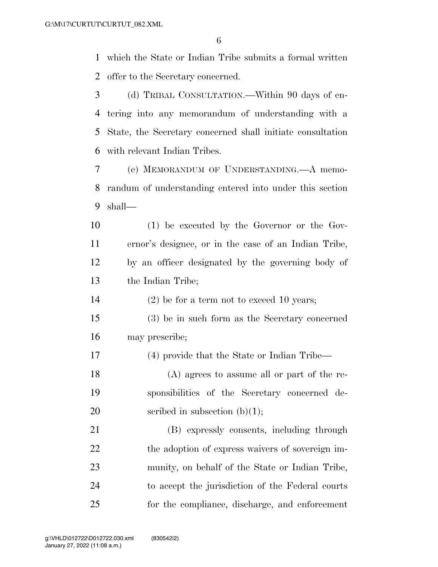which the State or Indian Tribe submits a formal written offer to the Secretary concerned.

- (d) TRIBAL CONSULTATION.—Within 90 days of en- tering into any memorandum of understanding with a State, the Secretary concerned shall initiate consultation with relevant Indian Tribes.
- (e) MEMORANDUM OF UNDERSTANDING.—A memo- randum of understanding entered into under this section shall—
- (1) be executed by the Governor or the Gov- ernor's designee, or in the case of an Indian Tribe, by an officer designated by the governing body of the Indian Tribe;

(2) be for a term not to exceed 10 years;

 (3) be in such form as the Secretary concerned may prescribe;

(4) provide that the State or Indian Tribe—

 (A) agrees to assume all or part of the re- sponsibilities of the Secretary concerned de-20 seribed in subsection  $(b)(1)$ ;

 (B) expressly consents, including through 22 the adoption of express waivers of sovereign im- munity, on behalf of the State or Indian Tribe, to accept the jurisdiction of the Federal courts for the compliance, discharge, and enforcement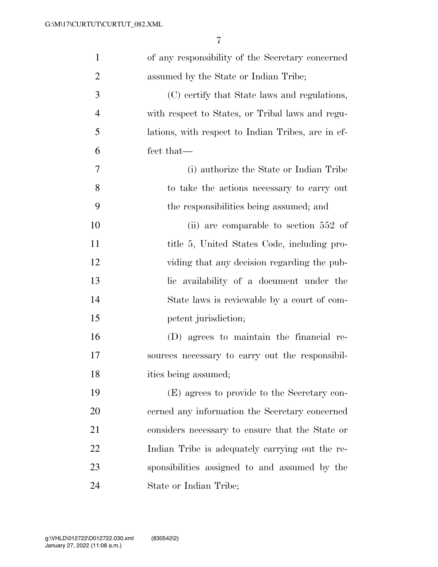| $\mathbf{1}$   | of any responsibility of the Secretary concerned   |
|----------------|----------------------------------------------------|
| $\overline{2}$ | assumed by the State or Indian Tribe;              |
| 3              | (C) certify that State laws and regulations,       |
| $\overline{4}$ | with respect to States, or Tribal laws and regu-   |
| 5              | lations, with respect to Indian Tribes, are in ef- |
| 6              | fect that—                                         |
| 7              | (i) authorize the State or Indian Tribe            |
| 8              | to take the actions necessary to carry out         |
| 9              | the responsibilities being assumed; and            |
| 10             | (ii) are comparable to section 552 of              |
| 11             | title 5, United States Code, including pro-        |
| 12             | viding that any decision regarding the pub-        |
| 13             | lic availability of a document under the           |
| 14             | State laws is reviewable by a court of com-        |
| 15             | petent jurisdiction;                               |
| 16             | (D) agrees to maintain the financial re-           |
| 17             | sources necessary to carry out the responsibil-    |
| 18             | ities being assumed;                               |
| 19             | (E) agrees to provide to the Secretary con-        |
| 20             | cerned any information the Secretary concerned     |
| 21             | considers necessary to ensure that the State or    |
| <u>22</u>      | Indian Tribe is adequately carrying out the re-    |
| 23             | sponsibilities assigned to and assumed by the      |
| 24             | State or Indian Tribe;                             |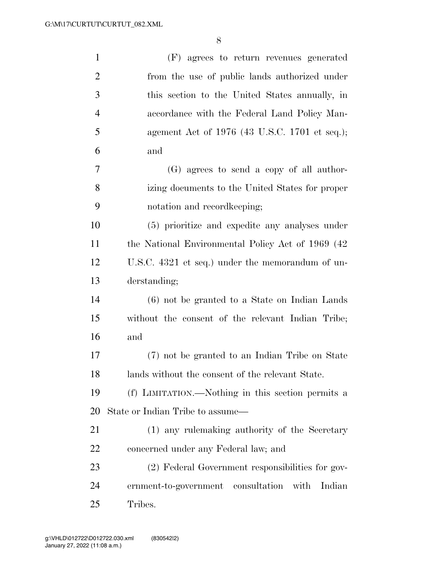| $\mathbf{1}$   | (F) agrees to return revenues generated              |
|----------------|------------------------------------------------------|
| $\overline{2}$ | from the use of public lands authorized under        |
| 3              | this section to the United States annually, in       |
| $\overline{4}$ | accordance with the Federal Land Policy Man-         |
| 5              | agement Act of 1976 (43 U.S.C. 1701 et seq.);        |
| 6              | and                                                  |
| 7              | (G) agrees to send a copy of all author-             |
| 8              | izing documents to the United States for proper      |
| 9              | notation and record keeping;                         |
| 10             | (5) prioritize and expedite any analyses under       |
| 11             | the National Environmental Policy Act of 1969 (42)   |
| 12             | U.S.C. 4321 et seq.) under the memorandum of un-     |
| 13             | derstanding;                                         |
| 14             | (6) not be granted to a State on Indian Lands        |
| 15             | without the consent of the relevant Indian Tribe;    |
| 16             | and                                                  |
| 17             | (7) not be granted to an Indian Tribe on State       |
| 18             | lands without the consent of the relevant State.     |
| 19             | (f) LIMITATION.—Nothing in this section permits a    |
| 20             | State or Indian Tribe to assume—                     |
| 21             | (1) any rulemaking authority of the Secretary        |
| 22             | concerned under any Federal law; and                 |
| 23             | (2) Federal Government responsibilities for gov-     |
| 24             | ernment-to-government consultation<br>with<br>Indian |
| 25             | Tribes.                                              |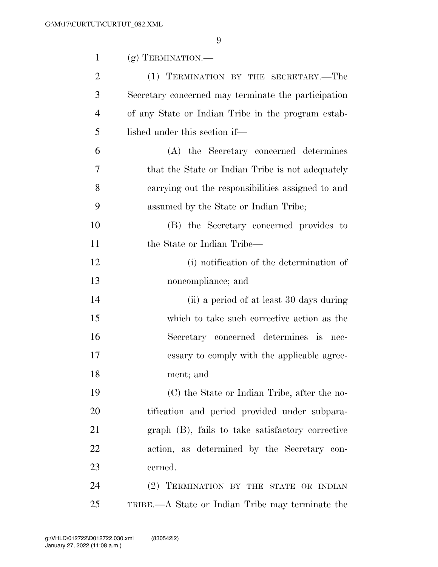| $\mathbf{1}$   | $(g)$ TERMINATION.—                                 |
|----------------|-----------------------------------------------------|
| $\overline{2}$ | (1) TERMINATION BY THE SECRETARY.—The               |
| 3              | Secretary concerned may terminate the participation |
| $\overline{4}$ | of any State or Indian Tribe in the program estab-  |
| 5              | lished under this section if—                       |
| 6              | (A) the Secretary concerned determines              |
| 7              | that the State or Indian Tribe is not adequately    |
| 8              | carrying out the responsibilities assigned to and   |
| 9              | assumed by the State or Indian Tribe;               |
| 10             | (B) the Secretary concerned provides to             |
| 11             | the State or Indian Tribe—                          |
| 12             | (i) notification of the determination of            |
| 13             | noncompliance; and                                  |
| 14             | (ii) a period of at least 30 days during            |
| 15             | which to take such corrective action as the         |
| 16             | Secretary concerned determines is nec-              |
| 17             | essary to comply with the applicable agree-         |
| 18             | ment; and                                           |
| 19             | (C) the State or Indian Tribe, after the no-        |
| 20             | tification and period provided under subpara-       |
| 21             | graph (B), fails to take satisfactory corrective    |
| 22             | action, as determined by the Secretary con-         |
| 23             | cerned.                                             |
| 24             | (2) TERMINATION BY THE STATE OR INDIAN              |
| 25             | TRIBE.—A State or Indian Tribe may terminate the    |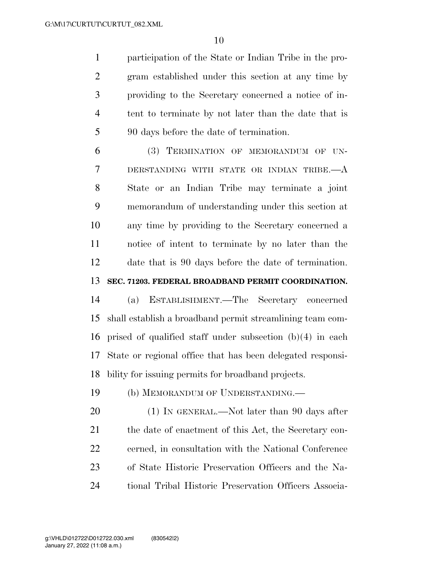participation of the State or Indian Tribe in the pro- gram established under this section at any time by providing to the Secretary concerned a notice of in- tent to terminate by not later than the date that is 90 days before the date of termination.

 (3) TERMINATION OF MEMORANDUM OF UN- DERSTANDING WITH STATE OR INDIAN TRIBE.—A State or an Indian Tribe may terminate a joint memorandum of understanding under this section at any time by providing to the Secretary concerned a notice of intent to terminate by no later than the date that is 90 days before the date of termination. **SEC. 71203. FEDERAL BROADBAND PERMIT COORDINATION.** 

 (a) ESTABLISHMENT.—The Secretary concerned shall establish a broadband permit streamlining team com- prised of qualified staff under subsection (b)(4) in each State or regional office that has been delegated responsi-bility for issuing permits for broadband projects.

(b) MEMORANDUM OF UNDERSTANDING.—

20 (1) IN GENERAL.—Not later than 90 days after 21 the date of enactment of this Act, the Secretary con- cerned, in consultation with the National Conference of State Historic Preservation Officers and the Na-tional Tribal Historic Preservation Officers Associa-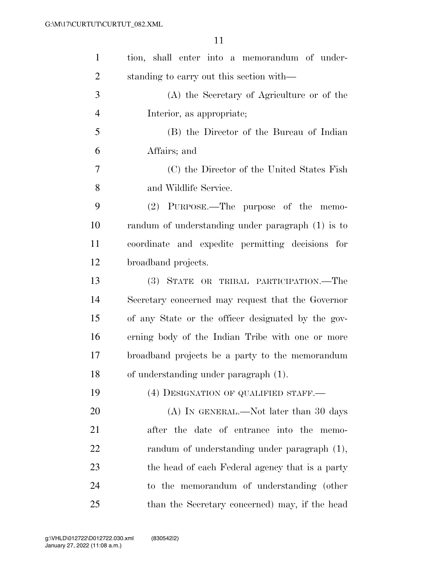| $\mathbf{1}$   | tion, shall enter into a memorandum of under-      |
|----------------|----------------------------------------------------|
| $\overline{2}$ | standing to carry out this section with—           |
| 3              | (A) the Secretary of Agriculture or of the         |
| $\overline{4}$ | Interior, as appropriate;                          |
| 5              | (B) the Director of the Bureau of Indian           |
| 6              | Affairs; and                                       |
| $\tau$         | (C) the Director of the United States Fish         |
| 8              | and Wildlife Service.                              |
| 9              | $(2)$ PURPOSE.—The purpose of the memo-            |
| 10             | randum of understanding under paragraph (1) is to  |
| 11             | coordinate and expedite permitting decisions for   |
| 12             | broadband projects.                                |
| 13             | (3) STATE OR TRIBAL PARTICIPATION.—The             |
| 14             | Secretary concerned may request that the Governor  |
| 15             | of any State or the officer designated by the gov- |
| 16             | erning body of the Indian Tribe with one or more   |
| 17             | broadband projects be a party to the memorandum    |
| 18             | of understanding under paragraph (1).              |
| 19             | (4) DESIGNATION OF QUALIFIED STAFF.—               |
| 20             | (A) IN GENERAL.—Not later than 30 days             |
| 21             | after the date of entrance into the memo-          |
| 22             | randum of understanding under paragraph (1),       |
| 23             | the head of each Federal agency that is a party    |
| 24             | to the memorandum of understanding (other          |
| 25             | than the Secretary concerned) may, if the head     |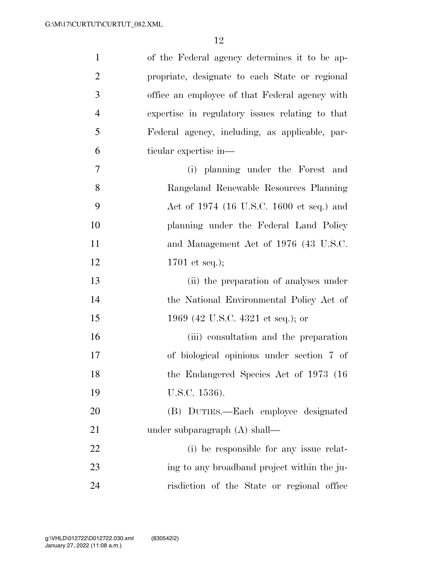| $\mathbf{1}$   | of the Federal agency determines it to be ap-   |
|----------------|-------------------------------------------------|
| $\overline{2}$ | propriate, designate to each State or regional  |
| 3              | office an employee of that Federal agency with  |
| $\overline{4}$ | expertise in regulatory issues relating to that |
| 5              | Federal agency, including, as applicable, par-  |
| 6              | ticular expertise in—                           |
| $\overline{7}$ | (i) planning under the Forest and               |
| 8              | Rangeland Renewable Resources Planning          |
| 9              | Act of 1974 (16 U.S.C. 1600 et seq.) and        |
| 10             | planning under the Federal Land Policy          |
| 11             | and Management Act of 1976 (43 U.S.C.           |
| 12             | 1701 et seq.);                                  |
| 13             | (ii) the preparation of analyses under          |
| 14             | the National Environmental Policy Act of        |
| 15             | 1969 (42 U.S.C. 4321 et seq.); or               |
| 16             | (iii) consultation and the preparation          |
| 17             | of biological opinions under section 7 of       |
| 18             | the Endangered Species Act of 1973 (16)         |
| 19             | U.S.C. 1536).                                   |
| 20             | (B) DUTIES.—Each employee designated            |
| 21             | under subparagraph $(A)$ shall—                 |
| 22             | (i) be responsible for any issue relat-         |
| 23             | ing to any broadband project within the ju-     |
| 24             | risdiction of the State or regional office      |